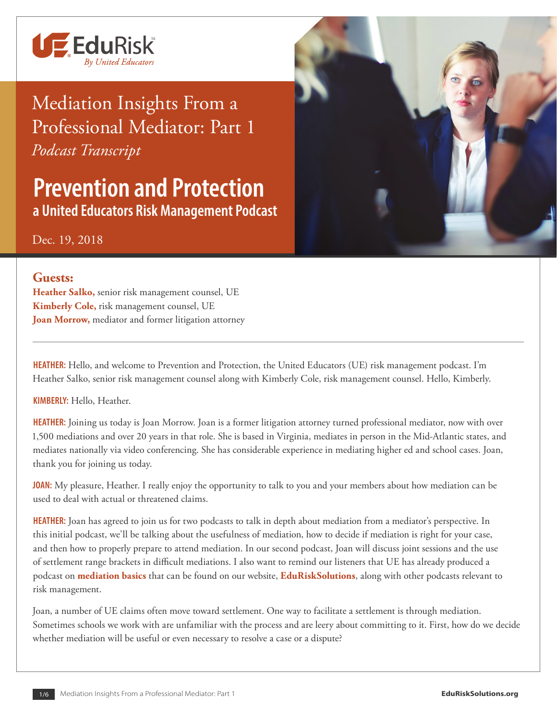

## Mediation Insights From a Professional Mediator: Part 1 *Podcast Transcript*

**Prevention and Protection a United Educators Risk Management Podcast**

Dec. 19, 2018

## **Guests:**

**Heather Salko,** senior risk management counsel, UE **Kimberly Cole,** risk management counsel, UE **Joan Morrow,** mediator and former litigation attorney

**HEATHER:** Hello, and welcome to Prevention and Protection, the United Educators (UE) risk management podcast. I'm Heather Salko, senior risk management counsel along with Kimberly Cole, risk management counsel. Hello, Kimberly.

**KIMBERLY:** Hello, Heather.

**HEATHER:** Joining us today is Joan Morrow. Joan is a former litigation attorney turned professional mediator, now with over 1,500 mediations and over 20 years in that role. She is based in Virginia, mediates in person in the Mid-Atlantic states, and mediates nationally via video conferencing. She has considerable experience in mediating higher ed and school cases. Joan, thank you for joining us today.

**JOAN:** My pleasure, Heather. I really enjoy the opportunity to talk to you and your members about how mediation can be used to deal with actual or threatened claims.

**HEATHER:** Joan has agreed to join us for two podcasts to talk in depth about mediation from a mediator's perspective. In this initial podcast, we'll be talking about the usefulness of mediation, how to decide if mediation is right for your case, and then how to properly prepare to attend mediation. In our second podcast, Joan will discuss joint sessions and the use of settlement range brackets in difficult mediations. I also want to remind our listeners that UE has already produced a podcast on **[mediation basics](https://www.edurisksolutions.org/Templates/template-article.aspx?id=3135&pageid=94)** that can be found on our website, **[EduRiskSolutions](https://www.edurisksolutions.org/)**, along with other podcasts relevant to risk management.

Joan, a number of UE claims often move toward settlement. One way to facilitate a settlement is through mediation. Sometimes schools we work with are unfamiliar with the process and are leery about committing to it. First, how do we decide whether mediation will be useful or even necessary to resolve a case or a dispute?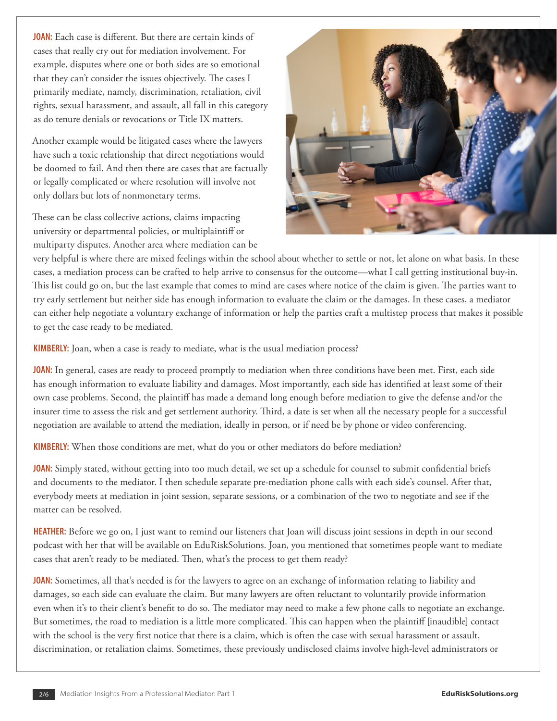**JOAN:** Each case is different. But there are certain kinds of cases that really cry out for mediation involvement. For example, disputes where one or both sides are so emotional that they can't consider the issues objectively. The cases I primarily mediate, namely, discrimination, retaliation, civil rights, sexual harassment, and assault, all fall in this category as do tenure denials or revocations or Title IX matters.

Another example would be litigated cases where the lawyers have such a toxic relationship that direct negotiations would be doomed to fail. And then there are cases that are factually or legally complicated or where resolution will involve not only dollars but lots of nonmonetary terms.

These can be class collective actions, claims impacting university or departmental policies, or multiplaintiff or multiparty disputes. Another area where mediation can be



very helpful is where there are mixed feelings within the school about whether to settle or not, let alone on what basis. In these cases, a mediation process can be crafted to help arrive to consensus for the outcome—what I call getting institutional buy-in. This list could go on, but the last example that comes to mind are cases where notice of the claim is given. The parties want to try early settlement but neither side has enough information to evaluate the claim or the damages. In these cases, a mediator can either help negotiate a voluntary exchange of information or help the parties craft a multistep process that makes it possible to get the case ready to be mediated.

**KIMBERLY:** Joan, when a case is ready to mediate, what is the usual mediation process?

**JOAN:** In general, cases are ready to proceed promptly to mediation when three conditions have been met. First, each side has enough information to evaluate liability and damages. Most importantly, each side has identified at least some of their own case problems. Second, the plaintiff has made a demand long enough before mediation to give the defense and/or the insurer time to assess the risk and get settlement authority. Third, a date is set when all the necessary people for a successful negotiation are available to attend the mediation, ideally in person, or if need be by phone or video conferencing.

**KIMBERLY:** When those conditions are met, what do you or other mediators do before mediation?

**JOAN:** Simply stated, without getting into too much detail, we set up a schedule for counsel to submit confidential briefs and documents to the mediator. I then schedule separate pre-mediation phone calls with each side's counsel. After that, everybody meets at mediation in joint session, separate sessions, or a combination of the two to negotiate and see if the matter can be resolved.

**HEATHER:** Before we go on, I just want to remind our listeners that Joan will discuss joint sessions in depth in our second podcast with her that will be available on EduRiskSolutions. Joan, you mentioned that sometimes people want to mediate cases that aren't ready to be mediated. Then, what's the process to get them ready?

**JOAN:** Sometimes, all that's needed is for the lawyers to agree on an exchange of information relating to liability and damages, so each side can evaluate the claim. But many lawyers are often reluctant to voluntarily provide information even when it's to their client's benefit to do so. The mediator may need to make a few phone calls to negotiate an exchange. But sometimes, the road to mediation is a little more complicated. This can happen when the plaintiff [inaudible] contact with the school is the very first notice that there is a claim, which is often the case with sexual harassment or assault, discrimination, or retaliation claims. Sometimes, these previously undisclosed claims involve high-level administrators or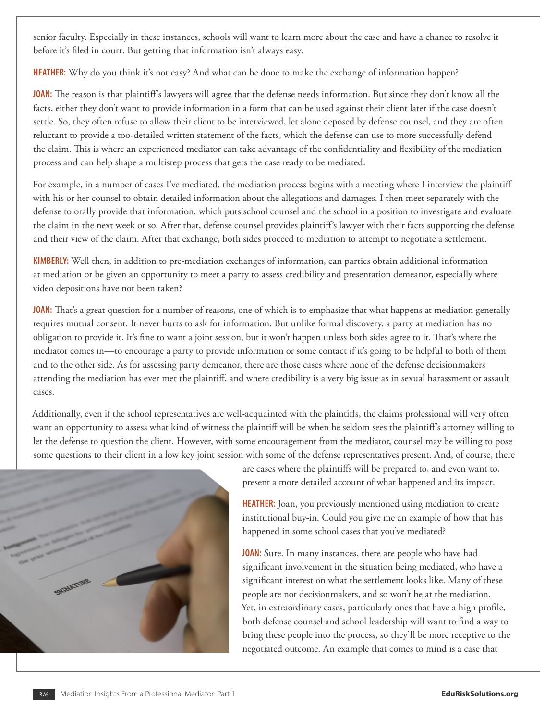senior faculty. Especially in these instances, schools will want to learn more about the case and have a chance to resolve it before it's filed in court. But getting that information isn't always easy.

**HEATHER:** Why do you think it's not easy? And what can be done to make the exchange of information happen?

**JOAN:** The reason is that plaintiff's lawyers will agree that the defense needs information. But since they don't know all the facts, either they don't want to provide information in a form that can be used against their client later if the case doesn't settle. So, they often refuse to allow their client to be interviewed, let alone deposed by defense counsel, and they are often reluctant to provide a too-detailed written statement of the facts, which the defense can use to more successfully defend the claim. This is where an experienced mediator can take advantage of the confidentiality and flexibility of the mediation process and can help shape a multistep process that gets the case ready to be mediated.

For example, in a number of cases I've mediated, the mediation process begins with a meeting where I interview the plaintiff with his or her counsel to obtain detailed information about the allegations and damages. I then meet separately with the defense to orally provide that information, which puts school counsel and the school in a position to investigate and evaluate the claim in the next week or so. After that, defense counsel provides plaintiff's lawyer with their facts supporting the defense and their view of the claim. After that exchange, both sides proceed to mediation to attempt to negotiate a settlement.

**KIMBERLY:** Well then, in addition to pre-mediation exchanges of information, can parties obtain additional information at mediation or be given an opportunity to meet a party to assess credibility and presentation demeanor, especially where video depositions have not been taken?

**JOAN:** That's a great question for a number of reasons, one of which is to emphasize that what happens at mediation generally requires mutual consent. It never hurts to ask for information. But unlike formal discovery, a party at mediation has no obligation to provide it. It's fine to want a joint session, but it won't happen unless both sides agree to it. That's where the mediator comes in—to encourage a party to provide information or some contact if it's going to be helpful to both of them and to the other side. As for assessing party demeanor, there are those cases where none of the defense decisionmakers attending the mediation has ever met the plaintiff, and where credibility is a very big issue as in sexual harassment or assault cases.

Additionally, even if the school representatives are well-acquainted with the plaintiffs, the claims professional will very often want an opportunity to assess what kind of witness the plaintiff will be when he seldom sees the plaintiff's attorney willing to let the defense to question the client. However, with some encouragement from the mediator, counsel may be willing to pose some questions to their client in a low key joint session with some of the defense representatives present. And, of course, there



are cases where the plaintiffs will be prepared to, and even want to, present a more detailed account of what happened and its impact.

**HEATHER:** Joan, you previously mentioned using mediation to create institutional buy-in. Could you give me an example of how that has happened in some school cases that you've mediated?

**JOAN:** Sure. In many instances, there are people who have had significant involvement in the situation being mediated, who have a significant interest on what the settlement looks like. Many of these people are not decisionmakers, and so won't be at the mediation. Yet, in extraordinary cases, particularly ones that have a high profile, both defense counsel and school leadership will want to find a way to bring these people into the process, so they'll be more receptive to the negotiated outcome. An example that comes to mind is a case that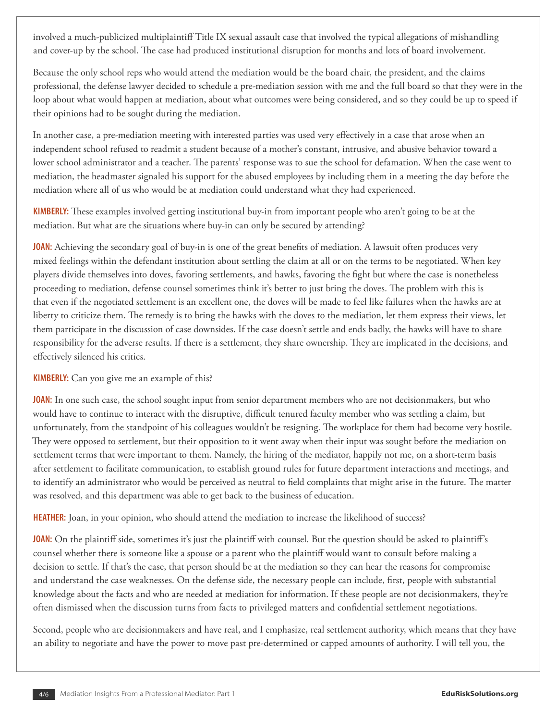involved a much-publicized multiplaintiff Title IX sexual assault case that involved the typical allegations of mishandling and cover-up by the school. The case had produced institutional disruption for months and lots of board involvement.

Because the only school reps who would attend the mediation would be the board chair, the president, and the claims professional, the defense lawyer decided to schedule a pre-mediation session with me and the full board so that they were in the loop about what would happen at mediation, about what outcomes were being considered, and so they could be up to speed if their opinions had to be sought during the mediation.

In another case, a pre-mediation meeting with interested parties was used very effectively in a case that arose when an independent school refused to readmit a student because of a mother's constant, intrusive, and abusive behavior toward a lower school administrator and a teacher. The parents' response was to sue the school for defamation. When the case went to mediation, the headmaster signaled his support for the abused employees by including them in a meeting the day before the mediation where all of us who would be at mediation could understand what they had experienced.

**KIMBERLY:** These examples involved getting institutional buy-in from important people who aren't going to be at the mediation. But what are the situations where buy-in can only be secured by attending?

**JOAN:** Achieving the secondary goal of buy-in is one of the great benefits of mediation. A lawsuit often produces very mixed feelings within the defendant institution about settling the claim at all or on the terms to be negotiated. When key players divide themselves into doves, favoring settlements, and hawks, favoring the fight but where the case is nonetheless proceeding to mediation, defense counsel sometimes think it's better to just bring the doves. The problem with this is that even if the negotiated settlement is an excellent one, the doves will be made to feel like failures when the hawks are at liberty to criticize them. The remedy is to bring the hawks with the doves to the mediation, let them express their views, let them participate in the discussion of case downsides. If the case doesn't settle and ends badly, the hawks will have to share responsibility for the adverse results. If there is a settlement, they share ownership. They are implicated in the decisions, and effectively silenced his critics.

**KIMBERLY:** Can you give me an example of this?

**JOAN:** In one such case, the school sought input from senior department members who are not decisionmakers, but who would have to continue to interact with the disruptive, difficult tenured faculty member who was settling a claim, but unfortunately, from the standpoint of his colleagues wouldn't be resigning. The workplace for them had become very hostile. They were opposed to settlement, but their opposition to it went away when their input was sought before the mediation on settlement terms that were important to them. Namely, the hiring of the mediator, happily not me, on a short-term basis after settlement to facilitate communication, to establish ground rules for future department interactions and meetings, and to identify an administrator who would be perceived as neutral to field complaints that might arise in the future. The matter was resolved, and this department was able to get back to the business of education.

**HEATHER:** Joan, in your opinion, who should attend the mediation to increase the likelihood of success?

**JOAN:** On the plaintiff side, sometimes it's just the plaintiff with counsel. But the question should be asked to plaintiff's counsel whether there is someone like a spouse or a parent who the plaintiff would want to consult before making a decision to settle. If that's the case, that person should be at the mediation so they can hear the reasons for compromise and understand the case weaknesses. On the defense side, the necessary people can include, first, people with substantial knowledge about the facts and who are needed at mediation for information. If these people are not decisionmakers, they're often dismissed when the discussion turns from facts to privileged matters and confidential settlement negotiations.

Second, people who are decisionmakers and have real, and I emphasize, real settlement authority, which means that they have an ability to negotiate and have the power to move past pre-determined or capped amounts of authority. I will tell you, the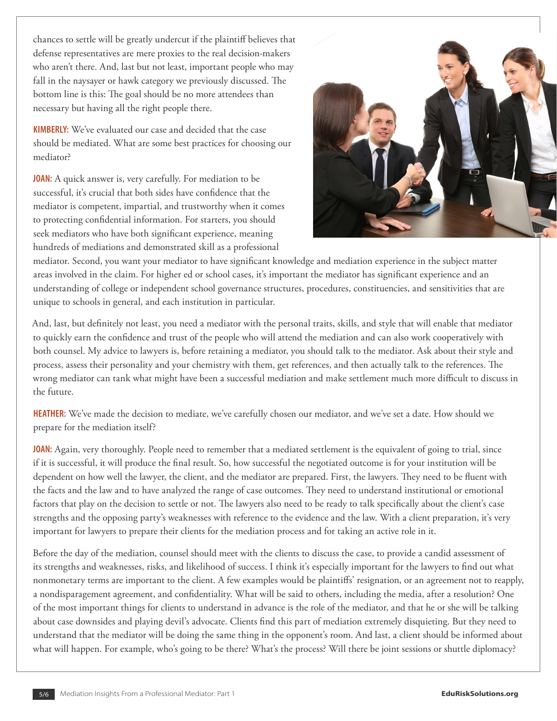chances to settle will be greatly undercut if the plaintiff believes that defense representatives are mere proxies to the real decision-makers who aren't there. And, last but not least, important people who may fall in the naysayer or hawk category we previously discussed. The bottom line is this: The goal should be no more attendees than necessary but having all the right people there.

**KIMBERLY:** We've evaluated our case and decided that the case should be mediated. What are some best practices for choosing our mediator?

**JOAN:** A quick answer is, very carefully. For mediation to be successful, it's crucial that both sides have confidence that the mediator is competent, impartial, and trustworthy when it comes to protecting confidential information. For starters, you should seek mediators who have both significant experience, meaning hundreds of mediations and demonstrated skill as a professional



mediator. Second, you want your mediator to have significant knowledge and mediation experience in the subject matter areas involved in the claim. For higher ed or school cases, it's important the mediator has significant experience and an understanding of college or independent school governance structures, procedures, constituencies, and sensitivities that are unique to schools in general, and each institution in particular.

And, last, but definitely not least, you need a mediator with the personal traits, skills, and style that will enable that mediator to quickly earn the confidence and trust of the people who will attend the mediation and can also work cooperatively with both counsel. My advice to lawyers is, before retaining a mediator, you should talk to the mediator. Ask about their style and process, assess their personality and your chemistry with them, get references, and then actually talk to the references. The wrong mediator can tank what might have been a successful mediation and make settlement much more difficult to discuss in the future.

**HEATHER:** We've made the decision to mediate, we've carefully chosen our mediator, and we've set a date. How should we prepare for the mediation itself?

**JOAN:** Again, very thoroughly. People need to remember that a mediated settlement is the equivalent of going to trial, since if it is successful, it will produce the final result. So, how successful the negotiated outcome is for your institution will be dependent on how well the lawyer, the client, and the mediator are prepared. First, the lawyers. They need to be fluent with the facts and the law and to have analyzed the range of case outcomes. They need to understand institutional or emotional factors that play on the decision to settle or not. The lawyers also need to be ready to talk specifically about the client's case strengths and the opposing party's weaknesses with reference to the evidence and the law. With a client preparation, it's very important for lawyers to prepare their clients for the mediation process and for taking an active role in it.

Before the day of the mediation, counsel should meet with the clients to discuss the case, to provide a candid assessment of its strengths and weaknesses, risks, and likelihood of success. I think it's especially important for the lawyers to find out what nonmonetary terms are important to the client. A few examples would be plaintiffs' resignation, or an agreement not to reapply, a nondisparagement agreement, and confidentiality. What will be said to others, including the media, after a resolution? One of the most important things for clients to understand in advance is the role of the mediator, and that he or she will be talking about case downsides and playing devil's advocate. Clients find this part of mediation extremely disquieting. But they need to understand that the mediator will be doing the same thing in the opponent's room. And last, a client should be informed about what will happen. For example, who's going to be there? What's the process? Will there be joint sessions or shuttle diplomacy?